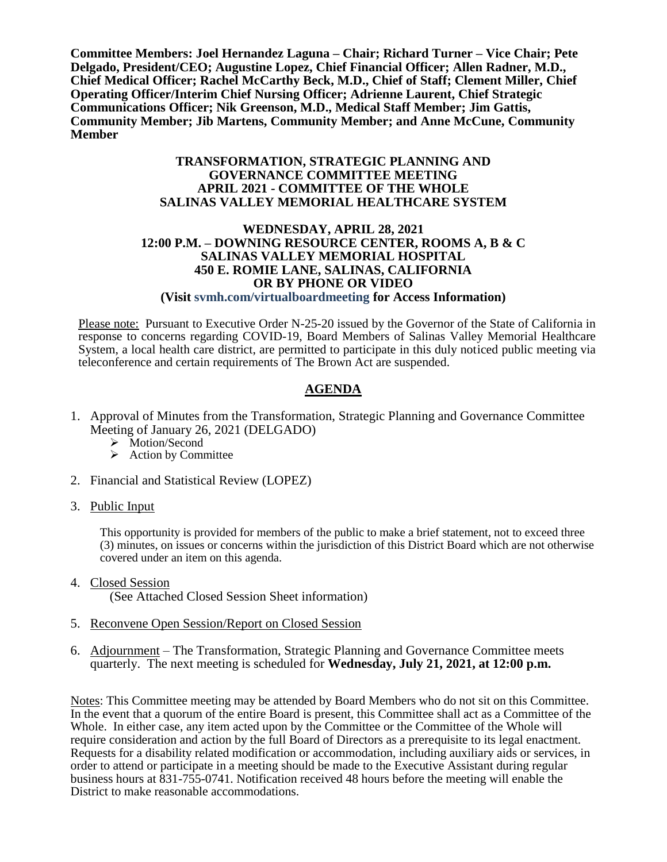**Committee Members: Joel Hernandez Laguna – Chair; Richard Turner – Vice Chair; Pete Delgado, President/CEO; Augustine Lopez, Chief Financial Officer; Allen Radner, M.D., Chief Medical Officer; Rachel McCarthy Beck, M.D., Chief of Staff; Clement Miller, Chief Operating Officer/Interim Chief Nursing Officer; Adrienne Laurent, Chief Strategic Communications Officer; Nik Greenson, M.D., Medical Staff Member; Jim Gattis, Community Member; Jib Martens, Community Member; and Anne McCune, Community Member**

#### **TRANSFORMATION, STRATEGIC PLANNING AND GOVERNANCE COMMITTEE MEETING APRIL 2021 - COMMITTEE OF THE WHOLE SALINAS VALLEY MEMORIAL HEALTHCARE SYSTEM**

#### **WEDNESDAY, APRIL 28, 2021 12:00 P.M. – DOWNING RESOURCE CENTER, ROOMS A, B & C SALINAS VALLEY MEMORIAL HOSPITAL 450 E. ROMIE LANE, SALINAS, CALIFORNIA OR BY PHONE OR VIDEO (Visit svmh.com/virtualboardmeeting for Access Information)**

Please note: Pursuant to Executive Order N-25-20 issued by the Governor of the State of California in response to concerns regarding COVID-19, Board Members of Salinas Valley Memorial Healthcare System, a local health care district, are permitted to participate in this duly noticed public meeting via teleconference and certain requirements of The Brown Act are suspended.

## **AGENDA**

- 1. Approval of Minutes from the Transformation, Strategic Planning and Governance Committee Meeting of January 26, 2021 (DELGADO)
	- > Motion/Second
	- $\triangleright$  Action by Committee
- 2. Financial and Statistical Review (LOPEZ)
- 3. Public Input

This opportunity is provided for members of the public to make a brief statement, not to exceed three (3) minutes, on issues or concerns within the jurisdiction of this District Board which are not otherwise covered under an item on this agenda.

- 4. Closed Session (See Attached Closed Session Sheet information)
- 5. Reconvene Open Session/Report on Closed Session
- 6. Adjournment The Transformation, Strategic Planning and Governance Committee meets quarterly. The next meeting is scheduled for **Wednesday, July 21, 2021, at 12:00 p.m.**

Notes: This Committee meeting may be attended by Board Members who do not sit on this Committee. In the event that a quorum of the entire Board is present, this Committee shall act as a Committee of the Whole. In either case, any item acted upon by the Committee or the Committee of the Whole will require consideration and action by the full Board of Directors as a prerequisite to its legal enactment. Requests for a disability related modification or accommodation, including auxiliary aids or services, in order to attend or participate in a meeting should be made to the Executive Assistant during regular business hours at 831-755-0741. Notification received 48 hours before the meeting will enable the District to make reasonable accommodations.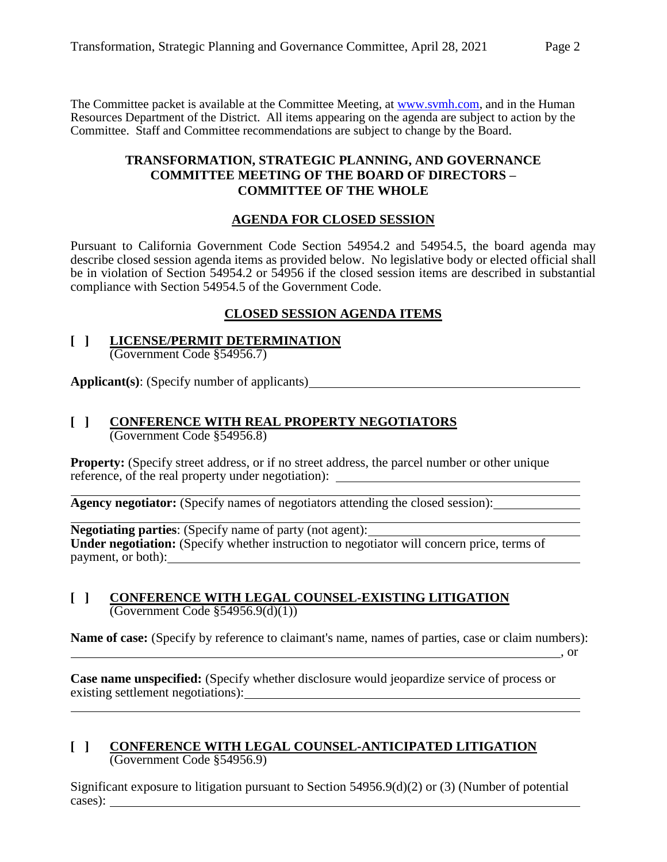The Committee packet is available at the Committee Meeting, at [www.svmh.com,](http://www.svmh.com/) and in the Human Resources Department of the District. All items appearing on the agenda are subject to action by the Committee. Staff and Committee recommendations are subject to change by the Board.

#### **TRANSFORMATION, STRATEGIC PLANNING, AND GOVERNANCE COMMITTEE MEETING OF THE BOARD OF DIRECTORS – COMMITTEE OF THE WHOLE**

#### **AGENDA FOR CLOSED SESSION**

Pursuant to California Government Code Section 54954.2 and 54954.5, the board agenda may describe closed session agenda items as provided below. No legislative body or elected official shall be in violation of Section 54954.2 or 54956 if the closed session items are described in substantial compliance with Section 54954.5 of the Government Code.

#### **CLOSED SESSION AGENDA ITEMS**

#### **[ ] LICENSE/PERMIT DETERMINATION** (Government Code §54956.7)

**Applicant(s)**: (Specify number of applicants)

#### **[ ] CONFERENCE WITH REAL PROPERTY NEGOTIATORS** (Government Code §54956.8)

**Property:** (Specify street address, or if no street address, the parcel number or other unique reference, of the real property under negotiation):

**Agency negotiator:** (Specify names of negotiators attending the closed session):

**Negotiating parties**: (Specify name of party (not agent): Under negotiation: (Specify whether instruction to negotiator will concern price, terms of payment, or both):

#### **[ ] CONFERENCE WITH LEGAL COUNSEL-EXISTING LITIGATION** (Government Code §54956.9(d)(1))

**Name of case:** (Specify by reference to claimant's name, names of parties, case or claim numbers):

, or

**Case name unspecified:** (Specify whether disclosure would jeopardize service of process or existing settlement negotiations):

#### **[ ] CONFERENCE WITH LEGAL COUNSEL-ANTICIPATED LITIGATION** (Government Code §54956.9)

Significant exposure to litigation pursuant to Section  $54956.9(d)(2)$  or (3) (Number of potential cases):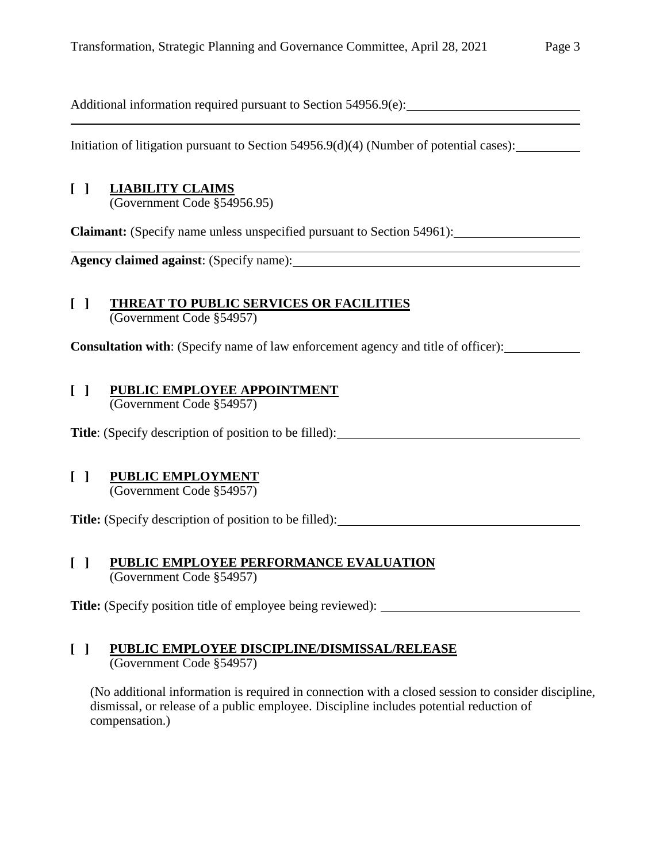Additional information required pursuant to Section 54956.9(e):

Initiation of litigation pursuant to Section 54956.9(d)(4) (Number of potential cases):

## **[ ] LIABILITY CLAIMS**

(Government Code §54956.95)

**Claimant:** (Specify name unless unspecified pursuant to Section 54961):

**Agency claimed against**: (Specify name):

#### **[ ] THREAT TO PUBLIC SERVICES OR FACILITIES** (Government Code §54957)

**Consultation with:** (Specify name of law enforcement agency and title of officer):

#### **[ ] PUBLIC EMPLOYEE APPOINTMENT** (Government Code §54957)

**Title**: (Specify description of position to be filled):

# **[ ] PUBLIC EMPLOYMENT**

(Government Code §54957)

**Title:** (Specify description of position to be filled):

#### **[ ] PUBLIC EMPLOYEE PERFORMANCE EVALUATION** (Government Code §54957)

**Title:** (Specify position title of employee being reviewed):

## **[ ] PUBLIC EMPLOYEE DISCIPLINE/DISMISSAL/RELEASE**

(Government Code §54957)

(No additional information is required in connection with a closed session to consider discipline, dismissal, or release of a public employee. Discipline includes potential reduction of compensation.)